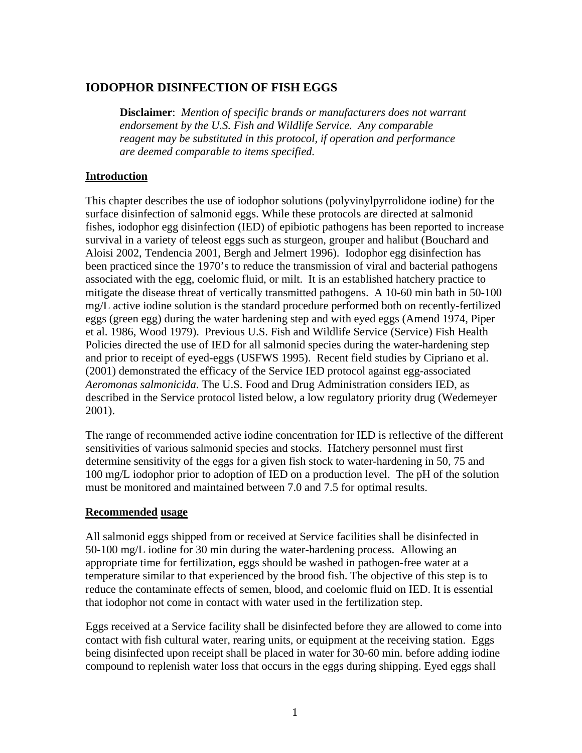# **IODOPHOR DISINFECTION OF FISH EGGS**

**Disclaimer**:*Mention of specific brands or manufacturers does not warrant endorsement by the U.S. Fish and Wildlife Service. Any comparable reagent may be substituted in this protocol, if operation and performance are deemed comparable to items specified.*

## **Introduction**

This chapter describes the use of iodophor solutions (polyvinylpyrrolidone iodine) for the surface disinfection of salmonid eggs. While these protocols are directed at salmonid fishes, iodophor egg disinfection (IED) of epibiotic pathogens has been reported to increase survival in a variety of teleost eggs such as sturgeon, grouper and halibut (Bouchard and Aloisi 2002, Tendencia 2001, Bergh and Jelmert 1996). Iodophor egg disinfection has been practiced since the 1970's to reduce the transmission of viral and bacterial pathogens associated with the egg, coelomic fluid, or milt. It is an established hatchery practice to mitigate the disease threat of vertically transmitted pathogens. A 10-60 min bath in 50-100 mg/L active iodine solution is the standard procedure performed both on recently-fertilized eggs (green egg) during the water hardening step and with eyed eggs (Amend 1974, Piper et al. 1986, Wood 1979). Previous U.S. Fish and Wildlife Service (Service) Fish Health Policies directed the use of IED for all salmonid species during the water-hardening step and prior to receipt of eyed-eggs (USFWS 1995). Recent field studies by Cipriano et al. (2001) demonstrated the efficacy of the Service IED protocol against egg-associated *Aeromonas salmonicida*. The U.S. Food and Drug Administration considers IED, as described in the Service protocol listed below, a low regulatory priority drug (Wedemeyer 2001).

The range of recommended active iodine concentration for IED is reflective of the different sensitivities of various salmonid species and stocks. Hatchery personnel must first determine sensitivity of the eggs for a given fish stock to water-hardening in 50, 75 and 100 mg/L iodophor prior to adoption of IED on a production level. The pH of the solution must be monitored and maintained between 7.0 and 7.5 for optimal results.

#### **Recommended usage**

All salmonid eggs shipped from or received at Service facilities shall be disinfected in 50-100 mg/L iodine for 30 min during the water-hardening process. Allowing an appropriate time for fertilization, eggs should be washed in pathogen-free water at a temperature similar to that experienced by the brood fish. The objective of this step is to reduce the contaminate effects of semen, blood, and coelomic fluid on IED. It is essential that iodophor not come in contact with water used in the fertilization step.

Eggs received at a Service facility shall be disinfected before they are allowed to come into contact with fish cultural water, rearing units, or equipment at the receiving station. Eggs being disinfected upon receipt shall be placed in water for 30-60 min. before adding iodine compound to replenish water loss that occurs in the eggs during shipping. Eyed eggs shall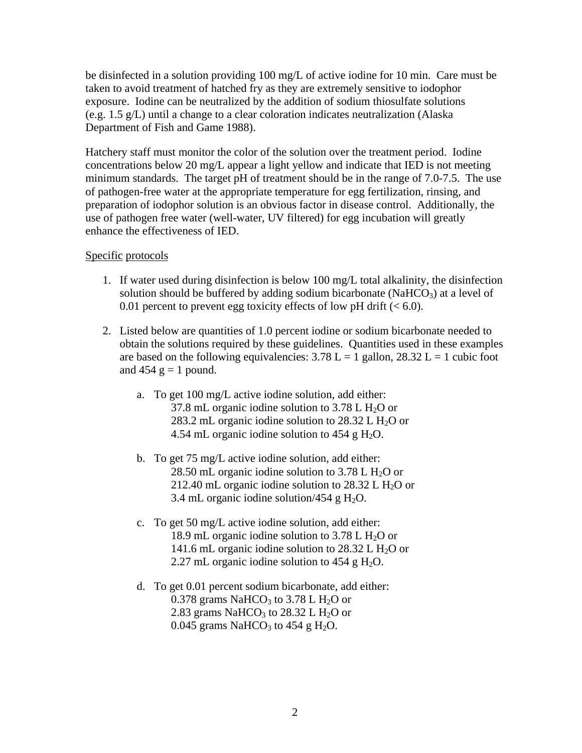be disinfected in a solution providing 100 mg/L of active iodine for 10 min. Care must be taken to avoid treatment of hatched fry as they are extremely sensitive to iodophor exposure. Iodine can be neutralized by the addition of sodium thiosulfate solutions (e.g. 1.5 g/L) until a change to a clear coloration indicates neutralization (Alaska Department of Fish and Game 1988).

Hatchery staff must monitor the color of the solution over the treatment period. Iodine concentrations below 20 mg/L appear a light yellow and indicate that IED is not meeting minimum standards. The target pH of treatment should be in the range of 7.0-7.5. The use of pathogen-free water at the appropriate temperature for egg fertilization, rinsing, and preparation of iodophor solution is an obvious factor in disease control. Additionally, the use of pathogen free water (well-water, UV filtered) for egg incubation will greatly enhance the effectiveness of IED.

## Specific protocols

- 1. If water used during disinfection is below 100 mg/L total alkalinity, the disinfection solution should be buffered by adding sodium bicarbonate (Na $HCO<sub>3</sub>$ ) at a level of 0.01 percent to prevent egg toxicity effects of low pH drift  $(< 6.0$ ).
- 2. Listed below are quantities of 1.0 percent iodine or sodium bicarbonate needed to obtain the solutions required by these guidelines. Quantities used in these examples are based on the following equivalencies:  $3.78 \text{ L} = 1$  gallon,  $28.32 \text{ L} = 1$  cubic foot and  $454$  g = 1 pound.
	- a. To get 100 mg/L active iodine solution, add either: 37.8 mL organic iodine solution to 3.78 L  $H<sub>2</sub>O$  or 283.2 mL organic iodine solution to 28.32 L  $H_2O$  or 4.54 mL organic iodine solution to  $454 \text{ g H}_2\text{O}$ .
	- b. To get 75 mg/L active iodine solution, add either: 28.50 mL organic iodine solution to  $3.78$  L H<sub>2</sub>O or 212.40 mL organic iodine solution to  $28.32$  L H<sub>2</sub>O or 3.4 mL organic iodine solution/454 g  $H_2O$ .
	- c. To get 50 mg/L active iodine solution, add either: 18.9 mL organic iodine solution to  $3.78$  L H<sub>2</sub>O or 141.6 mL organic iodine solution to  $28.32$  L H<sub>2</sub>O or 2.27 mL organic iodine solution to 454 g H<sub>2</sub>O.
	- d. To get 0.01 percent sodium bicarbonate, add either: 0.378 grams NaHCO<sub>3</sub> to 3.78 L H<sub>2</sub>O or 2.83 grams NaHCO<sub>3</sub> to 28.32 L H<sub>2</sub>O or 0.045 grams NaHCO<sub>3</sub> to 454 g H<sub>2</sub>O.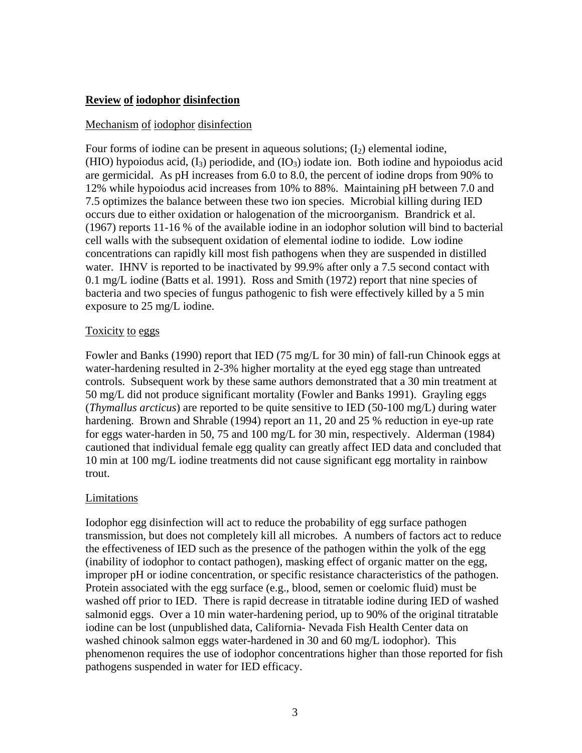## **Review of iodophor disinfection**

## Mechanism of iodophor disinfection

Four forms of iodine can be present in aqueous solutions;  $(I_2)$  elemental iodine, (HIO) hypoiodus acid,  $(I_3)$  periodide, and  $(IO_3)$  iodate ion. Both iodine and hypoiodus acid are germicidal. As pH increases from 6.0 to 8.0, the percent of iodine drops from 90% to 12% while hypoiodus acid increases from 10% to 88%. Maintaining pH between 7.0 and 7.5 optimizes the balance between these two ion species. Microbial killing during IED occurs due to either oxidation or halogenation of the microorganism. Brandrick et al. (1967) reports 11-16 % of the available iodine in an iodophor solution will bind to bacterial cell walls with the subsequent oxidation of elemental iodine to iodide. Low iodine concentrations can rapidly kill most fish pathogens when they are suspended in distilled water. IHNV is reported to be inactivated by 99.9% after only a 7.5 second contact with 0.1 mg/L iodine (Batts et al. 1991). Ross and Smith (1972) report that nine species of bacteria and two species of fungus pathogenic to fish were effectively killed by a 5 min exposure to 25 mg/L iodine.

## Toxicity to eggs

Fowler and Banks (1990) report that IED (75 mg/L for 30 min) of fall-run Chinook eggs at water-hardening resulted in 2-3% higher mortality at the eyed egg stage than untreated controls. Subsequent work by these same authors demonstrated that a 30 min treatment at 50 mg/L did not produce significant mortality (Fowler and Banks 1991). Grayling eggs (*Thymallus arcticus*) are reported to be quite sensitive to IED (50-100 mg/L) during water hardening. Brown and Shrable (1994) report an 11, 20 and 25 % reduction in eye-up rate for eggs water-harden in 50, 75 and 100 mg/L for 30 min, respectively. Alderman (1984) cautioned that individual female egg quality can greatly affect IED data and concluded that 10 min at 100 mg/L iodine treatments did not cause significant egg mortality in rainbow trout.

## Limitations

Iodophor egg disinfection will act to reduce the probability of egg surface pathogen transmission, but does not completely kill all microbes. A numbers of factors act to reduce the effectiveness of IED such as the presence of the pathogen within the yolk of the egg (inability of iodophor to contact pathogen), masking effect of organic matter on the egg, improper pH or iodine concentration, or specific resistance characteristics of the pathogen. Protein associated with the egg surface (e.g., blood, semen or coelomic fluid) must be washed off prior to IED. There is rapid decrease in titratable iodine during IED of washed salmonid eggs. Over a 10 min water-hardening period, up to 90% of the original titratable iodine can be lost (unpublished data, California- Nevada Fish Health Center data on washed chinook salmon eggs water-hardened in 30 and 60 mg/L iodophor). This phenomenon requires the use of iodophor concentrations higher than those reported for fish pathogens suspended in water for IED efficacy.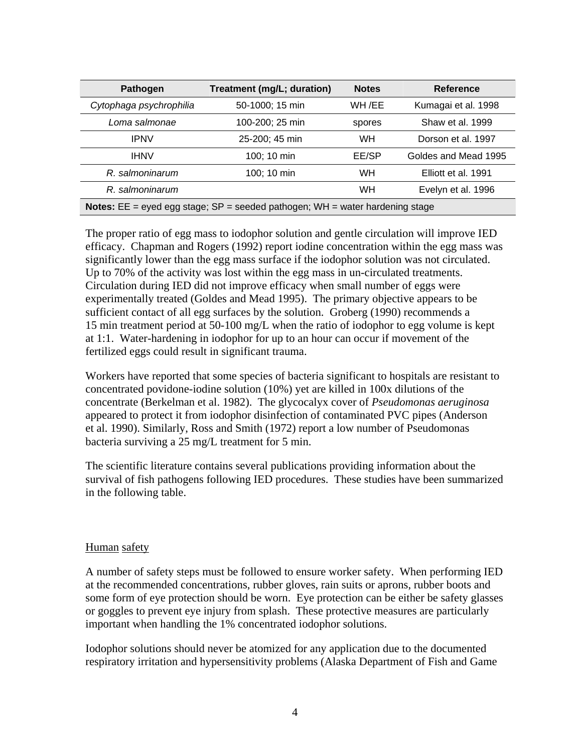| Pathogen                                                                                 | Treatment (mg/L; duration) | <b>Notes</b> | Reference            |
|------------------------------------------------------------------------------------------|----------------------------|--------------|----------------------|
| Cytophaga psychrophilia                                                                  | 50-1000; 15 min            | WH /EE       | Kumagai et al. 1998  |
| Loma salmonae                                                                            | 100-200; 25 min            | spores       | Shaw et al. 1999     |
| <b>IPNV</b>                                                                              | 25-200; 45 min             | <b>WH</b>    | Dorson et al. 1997   |
| <b>IHNV</b>                                                                              | 100; 10 min                | EE/SP        | Goldes and Mead 1995 |
| R. salmoninarum                                                                          | 100; 10 min                | <b>WH</b>    | Elliott et al. 1991  |
| R. salmoninarum                                                                          |                            | WH           | Evelyn et al. 1996   |
| <b>Notes:</b> $EE = e$ yed egg stage; $SP =$ seeded pathogen; WH = water hardening stage |                            |              |                      |

The proper ratio of egg mass to iodophor solution and gentle circulation will improve IED efficacy. Chapman and Rogers (1992) report iodine concentration within the egg mass was significantly lower than the egg mass surface if the iodophor solution was not circulated. Up to 70% of the activity was lost within the egg mass in un-circulated treatments. Circulation during IED did not improve efficacy when small number of eggs were experimentally treated (Goldes and Mead 1995). The primary objective appears to be sufficient contact of all egg surfaces by the solution. Groberg (1990) recommends a 15 min treatment period at 50-100 mg/L when the ratio of iodophor to egg volume is kept at 1:1. Water-hardening in iodophor for up to an hour can occur if movement of the fertilized eggs could result in significant trauma.

Workers have reported that some species of bacteria significant to hospitals are resistant to concentrated povidone-iodine solution (10%) yet are killed in 100x dilutions of the concentrate (Berkelman et al. 1982). The glycocalyx cover of *Pseudomonas aeruginosa*  appeared to protect it from iodophor disinfection of contaminated PVC pipes (Anderson et al. 1990). Similarly, Ross and Smith (1972) report a low number of Pseudomonas bacteria surviving a 25 mg/L treatment for 5 min.

The scientific literature contains several publications providing information about the survival of fish pathogens following IED procedures. These studies have been summarized in the following table.

#### Human safety

A number of safety steps must be followed to ensure worker safety. When performing IED at the recommended concentrations, rubber gloves, rain suits or aprons, rubber boots and some form of eye protection should be worn. Eye protection can be either be safety glasses or goggles to prevent eye injury from splash. These protective measures are particularly important when handling the 1% concentrated iodophor solutions.

Iodophor solutions should never be atomized for any application due to the documented respiratory irritation and hypersensitivity problems (Alaska Department of Fish and Game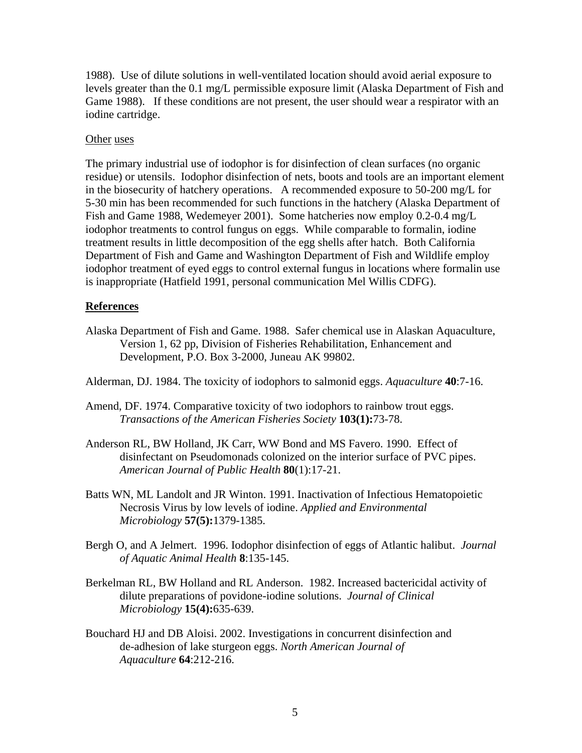1988). Use of dilute solutions in well-ventilated location should avoid aerial exposure to levels greater than the 0.1 mg/L permissible exposure limit (Alaska Department of Fish and Game 1988). If these conditions are not present, the user should wear a respirator with an iodine cartridge.

#### Other uses

The primary industrial use of iodophor is for disinfection of clean surfaces (no organic residue) or utensils. Iodophor disinfection of nets, boots and tools are an important element in the biosecurity of hatchery operations. A recommended exposure to 50-200 mg/L for 5-30 min has been recommended for such functions in the hatchery (Alaska Department of Fish and Game 1988, Wedemeyer 2001). Some hatcheries now employ 0.2-0.4 mg/L iodophor treatments to control fungus on eggs. While comparable to formalin, iodine treatment results in little decomposition of the egg shells after hatch. Both California Department of Fish and Game and Washington Department of Fish and Wildlife employ iodophor treatment of eyed eggs to control external fungus in locations where formalin use is inappropriate (Hatfield 1991, personal communication Mel Willis CDFG).

#### **References**

Alaska Department of Fish and Game. 1988. Safer chemical use in Alaskan Aquaculture, Version 1, 62 pp, Division of Fisheries Rehabilitation, Enhancement and Development, P.O. Box 3-2000, Juneau AK 99802.

Alderman, DJ. 1984. The toxicity of iodophors to salmonid eggs. *Aquaculture* **40**:7-16.

- Amend, DF. 1974. Comparative toxicity of two iodophors to rainbow trout eggs. *Transactions of the American Fisheries Society* **103(1):**73-78.
- Anderson RL, BW Holland, JK Carr, WW Bond and MS Favero. 1990. Effect of disinfectant on Pseudomonads colonized on the interior surface of PVC pipes. *American Journal of Public Health* **80**(1):17-21.
- Batts WN, ML Landolt and JR Winton. 1991. Inactivation of Infectious Hematopoietic Necrosis Virus by low levels of iodine. *Applied and Environmental Microbiology* **57(5):**1379-1385.
- Bergh O, and A Jelmert. 1996. Iodophor disinfection of eggs of Atlantic halibut. *Journal of Aquatic Animal Health* **8**:135-145.
- Berkelman RL, BW Holland and RL Anderson. 1982. Increased bactericidal activity of dilute preparations of povidone-iodine solutions. *Journal of Clinical Microbiology* **15(4):**635-639.
- Bouchard HJ and DB Aloisi. 2002. Investigations in concurrent disinfection and de-adhesion of lake sturgeon eggs. *North American Journal of Aquaculture* **64**:212-216.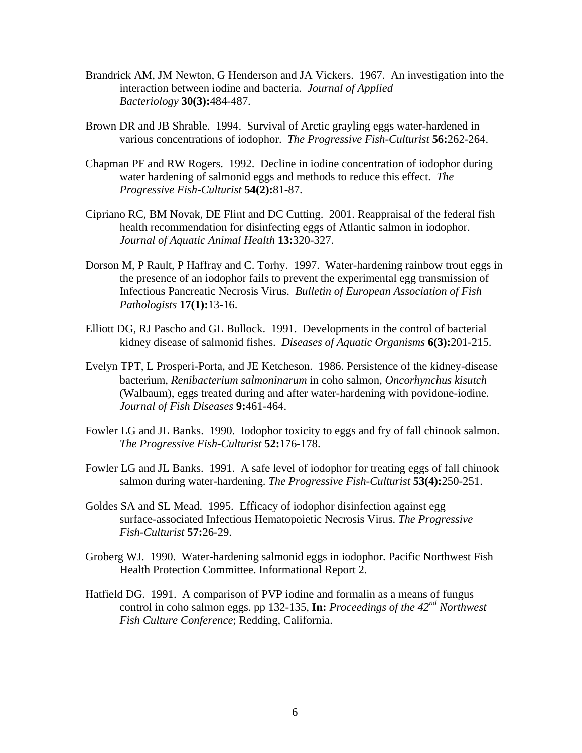- Brandrick AM, JM Newton, G Henderson and JA Vickers. 1967. An investigation into the interaction between iodine and bacteria. *Journal of Applied Bacteriology* **30(3):**484-487.
- Brown DR and JB Shrable. 1994. Survival of Arctic grayling eggs water-hardened in various concentrations of iodophor. *The Progressive Fish-Culturist* **56:**262-264.
- Chapman PF and RW Rogers. 1992. Decline in iodine concentration of iodophor during water hardening of salmonid eggs and methods to reduce this effect. *The Progressive Fish-Culturist* **54(2):**81-87.
- Cipriano RC, BM Novak, DE Flint and DC Cutting. 2001. Reappraisal of the federal fish health recommendation for disinfecting eggs of Atlantic salmon in iodophor. *Journal of Aquatic Animal Health* **13:**320-327.
- Dorson M, P Rault, P Haffray and C. Torhy. 1997. Water-hardening rainbow trout eggs in the presence of an iodophor fails to prevent the experimental egg transmission of Infectious Pancreatic Necrosis Virus. *Bulletin of European Association of Fish Pathologists* **17(1):**13-16.
- Elliott DG, RJ Pascho and GL Bullock. 1991. Developments in the control of bacterial kidney disease of salmonid fishes. *Diseases of Aquatic Organisms* **6(3):**201-215.
- Evelyn TPT, L Prosperi-Porta, and JE Ketcheson. 1986. Persistence of the kidney-disease bacterium, *Renibacterium salmoninarum* in coho salmon, *Oncorhynchus kisutch*  (Walbaum), eggs treated during and after water-hardening with povidone-iodine. *Journal of Fish Diseases* **9:**461-464.
- Fowler LG and JL Banks. 1990. Iodophor toxicity to eggs and fry of fall chinook salmon. *The Progressive Fish-Culturist* **52:**176-178.
- Fowler LG and JL Banks. 1991. A safe level of iodophor for treating eggs of fall chinook salmon during water-hardening. *The Progressive Fish-Culturist* **53(4):**250-251.
- Goldes SA and SL Mead. 1995. Efficacy of iodophor disinfection against egg surface-associated Infectious Hematopoietic Necrosis Virus. *The Progressive Fish-Culturist* **57:**26-29.
- Groberg WJ. 1990. Water-hardening salmonid eggs in iodophor. Pacific Northwest Fish Health Protection Committee. Informational Report 2.
- Hatfield DG. 1991. A comparison of PVP iodine and formalin as a means of fungus control in coho salmon eggs. pp 132-135, **In:** *Proceedings of the 42nd Northwest Fish Culture Conference*; Redding, California.